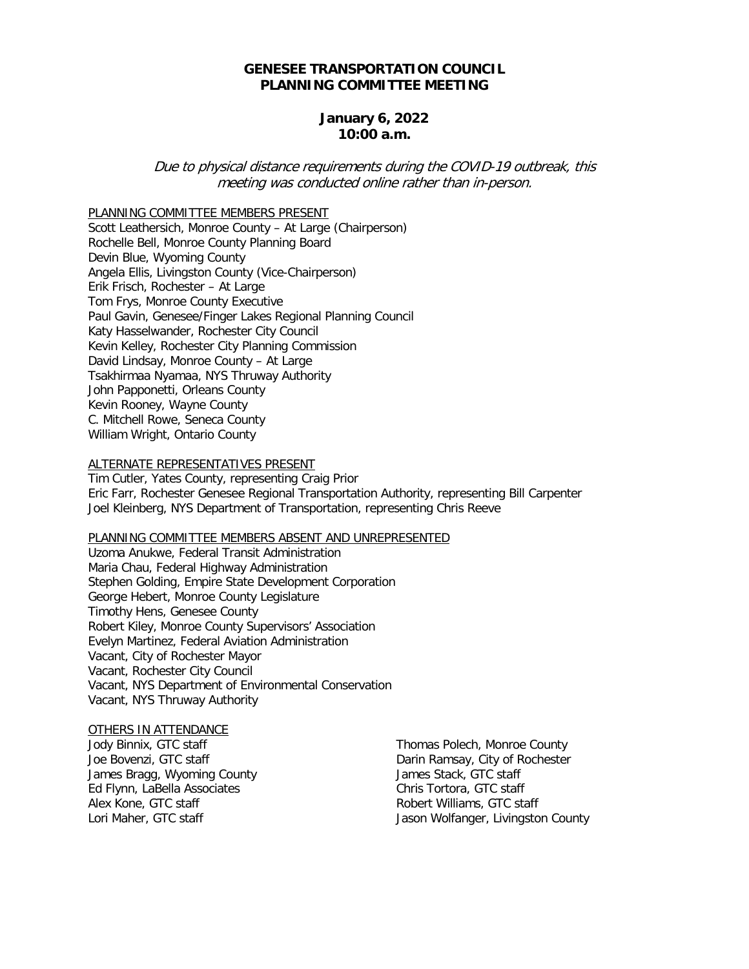#### **GENESEE TRANSPORTATION COUNCIL PLANNING COMMITTEE MEETING**

#### **January 6, 2022 10:00 a.m.**

Due to physical distance requirements during the COVID-19 outbreak, this meeting was conducted online rather than in-person.

PLANNING COMMITTEE MEMBERS PRESENT

Scott Leathersich, Monroe County – At Large (Chairperson) Rochelle Bell, Monroe County Planning Board Devin Blue, Wyoming County Angela Ellis, Livingston County (Vice-Chairperson) Erik Frisch, Rochester – At Large Tom Frys, Monroe County Executive Paul Gavin, Genesee/Finger Lakes Regional Planning Council Katy Hasselwander, Rochester City Council Kevin Kelley, Rochester City Planning Commission David Lindsay, Monroe County – At Large Tsakhirmaa Nyamaa, NYS Thruway Authority John Papponetti, Orleans County Kevin Rooney, Wayne County C. Mitchell Rowe, Seneca County William Wright, Ontario County

#### ALTERNATE REPRESENTATIVES PRESENT

Tim Cutler, Yates County, representing Craig Prior Eric Farr, Rochester Genesee Regional Transportation Authority, representing Bill Carpenter Joel Kleinberg, NYS Department of Transportation, representing Chris Reeve

#### PLANNING COMMITTEE MEMBERS ABSENT AND UNREPRESENTED

Uzoma Anukwe, Federal Transit Administration Maria Chau, Federal Highway Administration Stephen Golding, Empire State Development Corporation George Hebert, Monroe County Legislature Timothy Hens, Genesee County Robert Kiley, Monroe County Supervisors' Association Evelyn Martinez, Federal Aviation Administration Vacant, City of Rochester Mayor Vacant, Rochester City Council Vacant, NYS Department of Environmental Conservation Vacant, NYS Thruway Authority

#### OTHERS IN ATTENDANCE

Jody Binnix, GTC staff Joe Bovenzi, GTC staff James Bragg, Wyoming County Ed Flynn, LaBella Associates Alex Kone, GTC staff Lori Maher, GTC staff

Thomas Polech, Monroe County Darin Ramsay, City of Rochester James Stack, GTC staff Chris Tortora, GTC staff Robert Williams, GTC staff Jason Wolfanger, Livingston County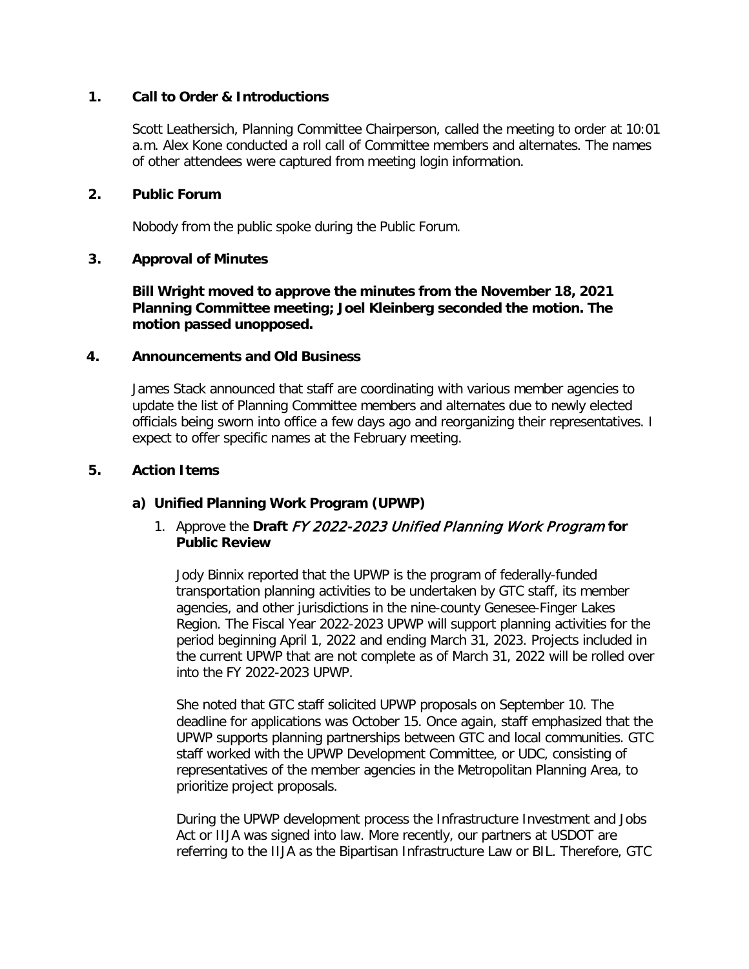# **1. Call to Order & Introductions**

Scott Leathersich, Planning Committee Chairperson, called the meeting to order at 10:01 a.m. Alex Kone conducted a roll call of Committee members and alternates. The names of other attendees were captured from meeting login information.

#### **2. Public Forum**

Nobody from the public spoke during the Public Forum.

# **3. Approval of Minutes**

**Bill Wright moved to approve the minutes from the November 18, 2021 Planning Committee meeting; Joel Kleinberg seconded the motion. The motion passed unopposed.**

#### **4. Announcements and Old Business**

James Stack announced that staff are coordinating with various member agencies to update the list of Planning Committee members and alternates due to newly elected officials being sworn into office a few days ago and reorganizing their representatives. I expect to offer specific names at the February meeting.

#### **5. Action Items**

# **a) Unified Planning Work Program (UPWP)**

# 1. Approve the **Draft** FY 2022-2023 Unified Planning Work Program **for Public Review**

Jody Binnix reported that the UPWP is the program of federally-funded transportation planning activities to be undertaken by GTC staff, its member agencies, and other jurisdictions in the nine-county Genesee-Finger Lakes Region. The Fiscal Year 2022-2023 UPWP will support planning activities for the period beginning April 1, 2022 and ending March 31, 2023. Projects included in the current UPWP that are not complete as of March 31, 2022 will be rolled over into the FY 2022-2023 UPWP.

She noted that GTC staff solicited UPWP proposals on September 10. The deadline for applications was October 15. Once again, staff emphasized that the UPWP supports planning partnerships between GTC and local communities. GTC staff worked with the UPWP Development Committee, or UDC, consisting of representatives of the member agencies in the Metropolitan Planning Area, to prioritize project proposals.

During the UPWP development process the Infrastructure Investment and Jobs Act or IIJA was signed into law. More recently, our partners at USDOT are referring to the IIJA as the Bipartisan Infrastructure Law or BIL. Therefore, GTC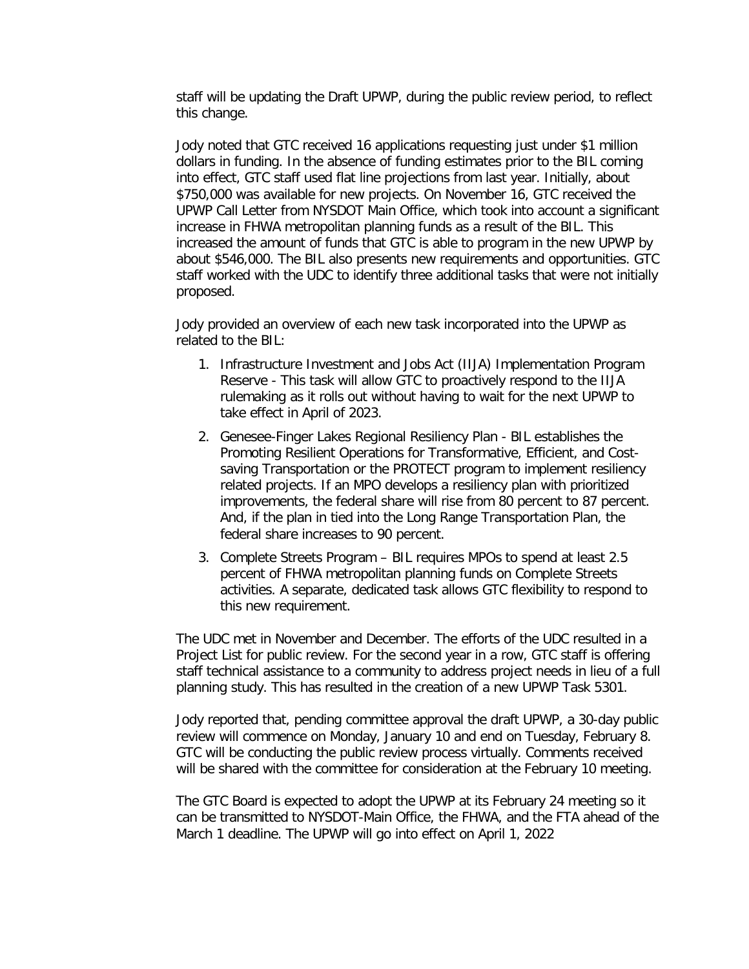staff will be updating the Draft UPWP, during the public review period, to reflect this change.

Jody noted that GTC received 16 applications requesting just under \$1 million dollars in funding. In the absence of funding estimates prior to the BIL coming into effect, GTC staff used flat line projections from last year. Initially, about \$750,000 was available for new projects. On November 16, GTC received the UPWP Call Letter from NYSDOT Main Office, which took into account a significant increase in FHWA metropolitan planning funds as a result of the BIL. This increased the amount of funds that GTC is able to program in the new UPWP by about \$546,000. The BIL also presents new requirements and opportunities. GTC staff worked with the UDC to identify three additional tasks that were not initially proposed.

Jody provided an overview of each new task incorporated into the UPWP as related to the BIL:

- 1. Infrastructure Investment and Jobs Act (IIJA) Implementation Program Reserve - This task will allow GTC to proactively respond to the IIJA rulemaking as it rolls out without having to wait for the next UPWP to take effect in April of 2023.
- 2. Genesee-Finger Lakes Regional Resiliency Plan BIL establishes the Promoting Resilient Operations for Transformative, Efficient, and Costsaving Transportation or the PROTECT program to implement resiliency related projects. If an MPO develops a resiliency plan with prioritized improvements, the federal share will rise from 80 percent to 87 percent. And, if the plan in tied into the Long Range Transportation Plan, the federal share increases to 90 percent.
- 3. Complete Streets Program BIL requires MPOs to spend at least 2.5 percent of FHWA metropolitan planning funds on Complete Streets activities. A separate, dedicated task allows GTC flexibility to respond to this new requirement.

The UDC met in November and December. The efforts of the UDC resulted in a Project List for public review. For the second year in a row, GTC staff is offering staff technical assistance to a community to address project needs in lieu of a full planning study. This has resulted in the creation of a new UPWP Task 5301.

Jody reported that, pending committee approval the draft UPWP, a 30-day public review will commence on Monday, January 10 and end on Tuesday, February 8. GTC will be conducting the public review process virtually. Comments received will be shared with the committee for consideration at the February 10 meeting.

The GTC Board is expected to adopt the UPWP at its February 24 meeting so it can be transmitted to NYSDOT-Main Office, the FHWA, and the FTA ahead of the March 1 deadline. The UPWP will go into effect on April 1, 2022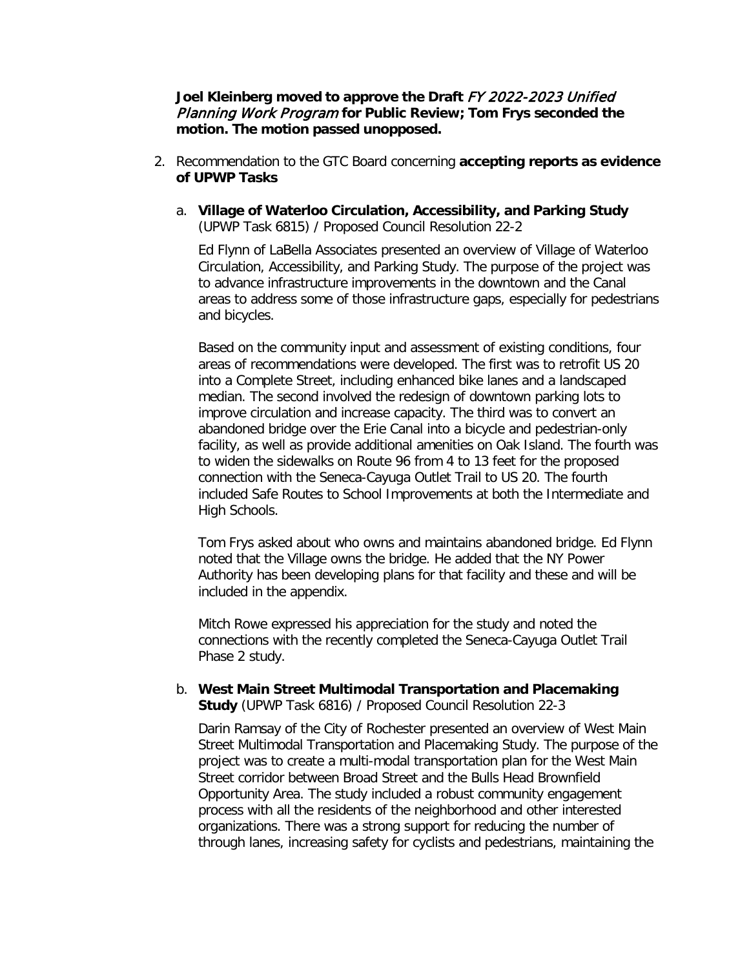**Joel Kleinberg moved to approve the Draft** FY 2022-2023 Unified Planning Work Program **for Public Review; Tom Frys seconded the motion. The motion passed unopposed.**

- 2. Recommendation to the GTC Board concerning **accepting reports as evidence of UPWP Tasks**
	- a. **Village of Waterloo Circulation, Accessibility, and Parking Study**  (UPWP Task 6815) / Proposed Council Resolution 22-2

Ed Flynn of LaBella Associates presented an overview of Village of Waterloo Circulation, Accessibility, and Parking Study. The purpose of the project was to advance infrastructure improvements in the downtown and the Canal areas to address some of those infrastructure gaps, especially for pedestrians and bicycles.

Based on the community input and assessment of existing conditions, four areas of recommendations were developed. The first was to retrofit US 20 into a Complete Street, including enhanced bike lanes and a landscaped median. The second involved the redesign of downtown parking lots to improve circulation and increase capacity. The third was to convert an abandoned bridge over the Erie Canal into a bicycle and pedestrian-only facility, as well as provide additional amenities on Oak Island. The fourth was to widen the sidewalks on Route 96 from 4 to 13 feet for the proposed connection with the Seneca-Cayuga Outlet Trail to US 20. The fourth included Safe Routes to School Improvements at both the Intermediate and High Schools.

Tom Frys asked about who owns and maintains abandoned bridge. Ed Flynn noted that the Village owns the bridge. He added that the NY Power Authority has been developing plans for that facility and these and will be included in the appendix.

Mitch Rowe expressed his appreciation for the study and noted the connections with the recently completed the Seneca-Cayuga Outlet Trail Phase 2 study.

b. **West Main Street Multimodal Transportation and Placemaking Study** (UPWP Task 6816) / Proposed Council Resolution 22-3

Darin Ramsay of the City of Rochester presented an overview of West Main Street Multimodal Transportation and Placemaking Study. The purpose of the project was to create a multi-modal transportation plan for the West Main Street corridor between Broad Street and the Bulls Head Brownfield Opportunity Area. The study included a robust community engagement process with all the residents of the neighborhood and other interested organizations. There was a strong support for reducing the number of through lanes, increasing safety for cyclists and pedestrians, maintaining the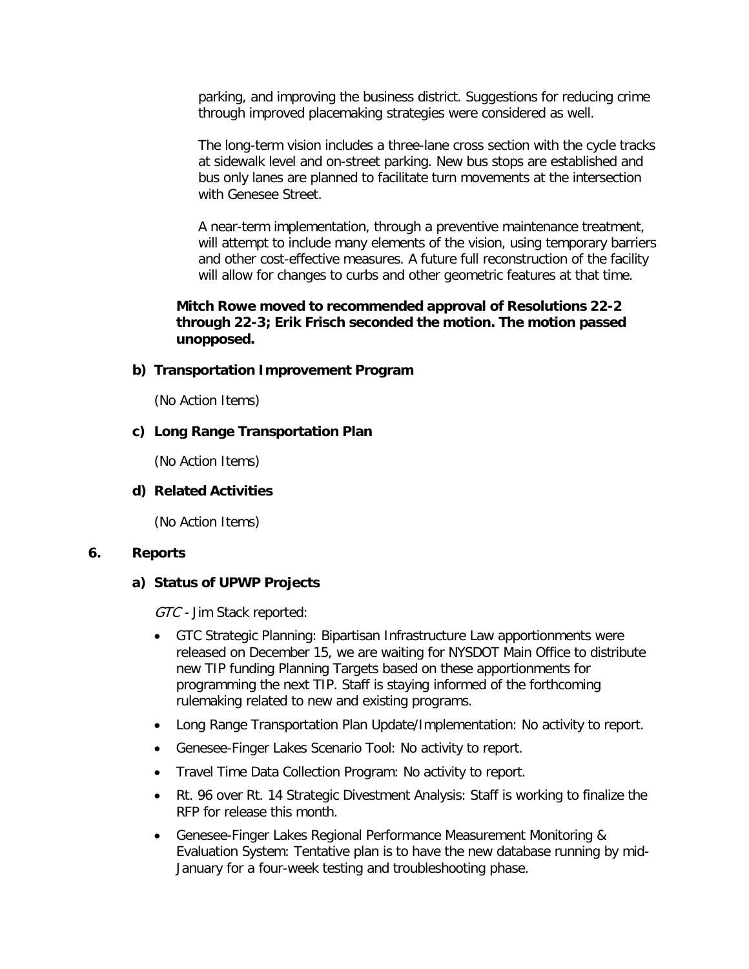parking, and improving the business district. Suggestions for reducing crime through improved placemaking strategies were considered as well.

The long-term vision includes a three-lane cross section with the cycle tracks at sidewalk level and on-street parking. New bus stops are established and bus only lanes are planned to facilitate turn movements at the intersection with Genesee Street.

A near-term implementation, through a preventive maintenance treatment, will attempt to include many elements of the vision, using temporary barriers and other cost-effective measures. A future full reconstruction of the facility will allow for changes to curbs and other geometric features at that time.

# **Mitch Rowe moved to recommended approval of Resolutions 22-2 through 22-3; Erik Frisch seconded the motion. The motion passed unopposed.**

#### **b) Transportation Improvement Program**

(No Action Items)

#### **c) Long Range Transportation Plan**

(No Action Items)

# **d) Related Activities**

(No Action Items)

#### **6. Reports**

# **a) Status of UPWP Projects**

GTC - Jim Stack reported:

- GTC Strategic Planning: Bipartisan Infrastructure Law apportionments were released on December 15, we are waiting for NYSDOT Main Office to distribute new TIP funding Planning Targets based on these apportionments for programming the next TIP. Staff is staying informed of the forthcoming rulemaking related to new and existing programs.
- Long Range Transportation Plan Update/Implementation: No activity to report.
- Genesee-Finger Lakes Scenario Tool: No activity to report.
- Travel Time Data Collection Program: No activity to report.
- Rt. 96 over Rt. 14 Strategic Divestment Analysis: Staff is working to finalize the RFP for release this month.
- Genesee-Finger Lakes Regional Performance Measurement Monitoring & Evaluation System: Tentative plan is to have the new database running by mid-January for a four-week testing and troubleshooting phase.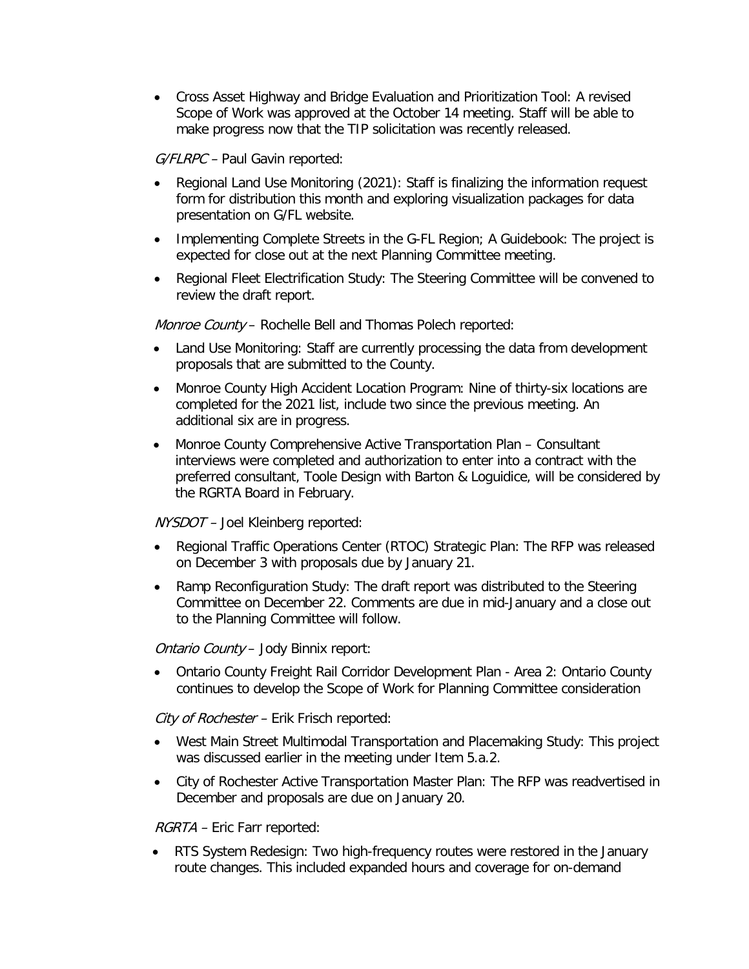• Cross Asset Highway and Bridge Evaluation and Prioritization Tool: A revised Scope of Work was approved at the October 14 meeting. Staff will be able to make progress now that the TIP solicitation was recently released.

G/FLRPC - Paul Gavin reported:

- Regional Land Use Monitoring (2021): Staff is finalizing the information request form for distribution this month and exploring visualization packages for data presentation on G/FL website.
- Implementing Complete Streets in the G-FL Region; A Guidebook: The project is expected for close out at the next Planning Committee meeting.
- Regional Fleet Electrification Study: The Steering Committee will be convened to review the draft report.

Monroe County - Rochelle Bell and Thomas Polech reported:

- Land Use Monitoring: Staff are currently processing the data from development proposals that are submitted to the County.
- Monroe County High Accident Location Program: Nine of thirty-six locations are completed for the 2021 list, include two since the previous meeting. An additional six are in progress.
- Monroe County Comprehensive Active Transportation Plan Consultant interviews were completed and authorization to enter into a contract with the preferred consultant, Toole Design with Barton & Loguidice, will be considered by the RGRTA Board in February.

NYSDOT – Joel Kleinberg reported:

- Regional Traffic Operations Center (RTOC) Strategic Plan: The RFP was released on December 3 with proposals due by January 21.
- Ramp Reconfiguration Study: The draft report was distributed to the Steering Committee on December 22. Comments are due in mid-January and a close out to the Planning Committee will follow.

Ontario County – Jody Binnix report:

• Ontario County Freight Rail Corridor Development Plan - Area 2: Ontario County continues to develop the Scope of Work for Planning Committee consideration

City of Rochester - Erik Frisch reported:

- West Main Street Multimodal Transportation and Placemaking Study: This project was discussed earlier in the meeting under Item 5.a.2.
- City of Rochester Active Transportation Master Plan: The RFP was readvertised in December and proposals are due on January 20.

RGRTA – Eric Farr reported:

• RTS System Redesign: Two high-frequency routes were restored in the January route changes. This included expanded hours and coverage for on-demand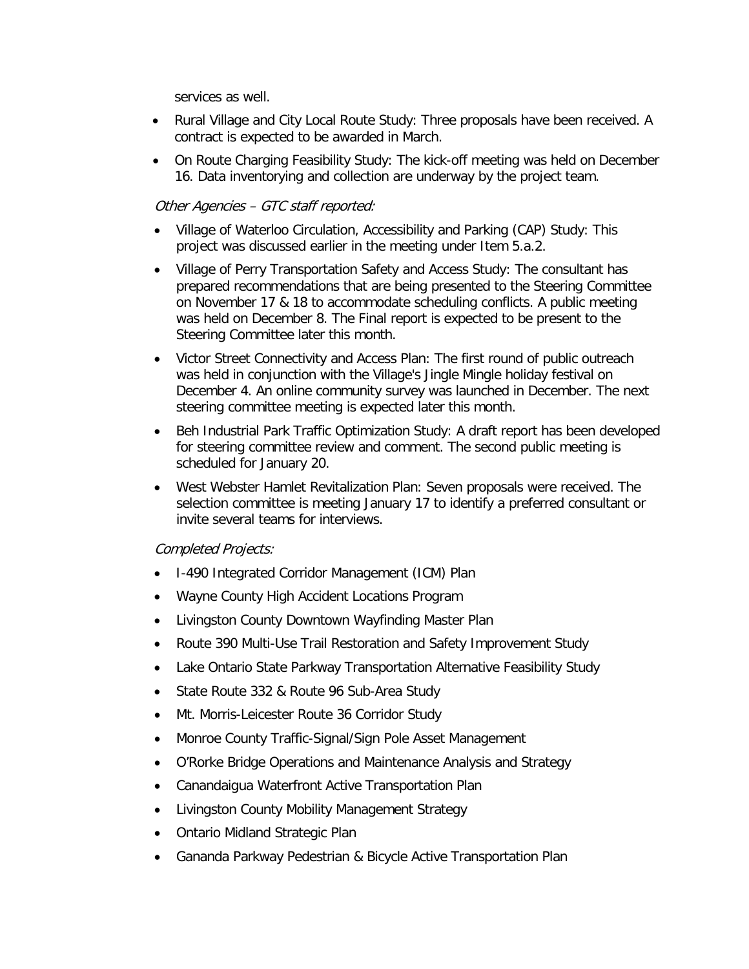services as well.

- Rural Village and City Local Route Study: Three proposals have been received. A contract is expected to be awarded in March.
- On Route Charging Feasibility Study: The kick-off meeting was held on December 16. Data inventorying and collection are underway by the project team.

# Other Agencies – GTC staff reported:

- Village of Waterloo Circulation, Accessibility and Parking (CAP) Study: This project was discussed earlier in the meeting under Item 5.a.2.
- Village of Perry Transportation Safety and Access Study: The consultant has prepared recommendations that are being presented to the Steering Committee on November 17 & 18 to accommodate scheduling conflicts. A public meeting was held on December 8. The Final report is expected to be present to the Steering Committee later this month.
- Victor Street Connectivity and Access Plan: The first round of public outreach was held in conjunction with the Village's Jingle Mingle holiday festival on December 4. An online community survey was launched in December. The next steering committee meeting is expected later this month.
- Beh Industrial Park Traffic Optimization Study: A draft report has been developed for steering committee review and comment. The second public meeting is scheduled for January 20.
- West Webster Hamlet Revitalization Plan: Seven proposals were received. The selection committee is meeting January 17 to identify a preferred consultant or invite several teams for interviews.

# Completed Projects:

- I-490 Integrated Corridor Management (ICM) Plan
- Wayne County High Accident Locations Program
- Livingston County Downtown Wayfinding Master Plan
- Route 390 Multi-Use Trail Restoration and Safety Improvement Study
- Lake Ontario State Parkway Transportation Alternative Feasibility Study
- State Route 332 & Route 96 Sub-Area Study
- Mt. Morris-Leicester Route 36 Corridor Study
- Monroe County Traffic-Signal/Sign Pole Asset Management
- O'Rorke Bridge Operations and Maintenance Analysis and Strategy
- Canandaigua Waterfront Active Transportation Plan
- Livingston County Mobility Management Strategy
- Ontario Midland Strategic Plan
- Gananda Parkway Pedestrian & Bicycle Active Transportation Plan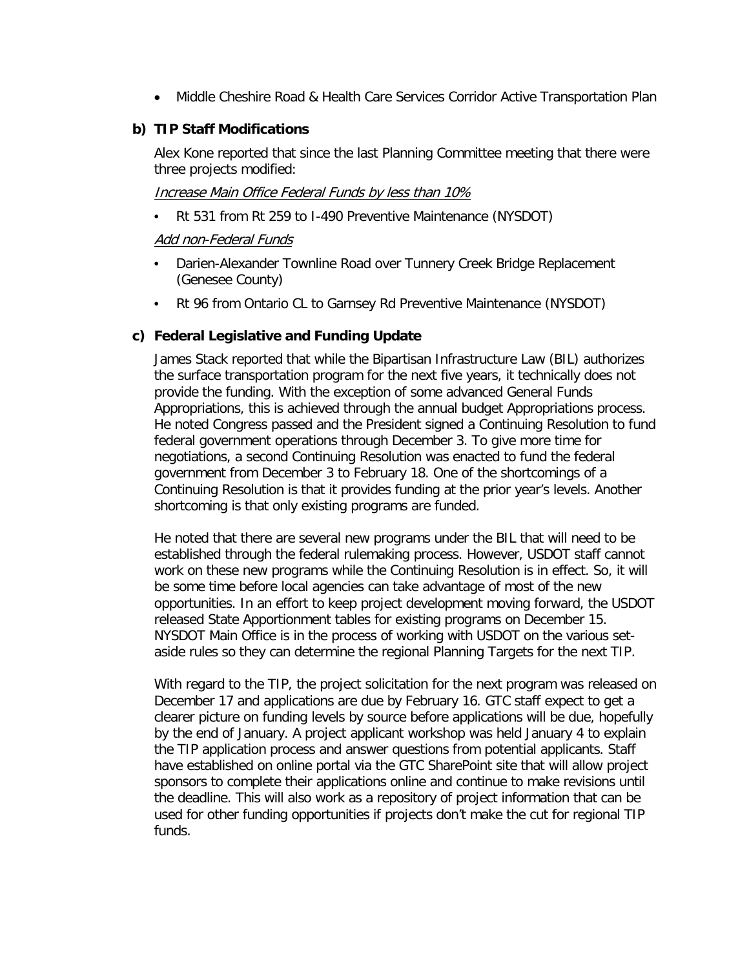• Middle Cheshire Road & Health Care Services Corridor Active Transportation Plan

# **b) TIP Staff Modifications**

Alex Kone reported that since the last Planning Committee meeting that there were three projects modified:

# Increase Main Office Federal Funds by less than 10%

• Rt 531 from Rt 259 to I-490 Preventive Maintenance (NYSDOT)

# Add non-Federal Funds

- Darien-Alexander Townline Road over Tunnery Creek Bridge Replacement (Genesee County)
- Rt 96 from Ontario CL to Garnsey Rd Preventive Maintenance (NYSDOT)

# **c) Federal Legislative and Funding Update**

James Stack reported that while the Bipartisan Infrastructure Law (BIL) authorizes the surface transportation program for the next five years, it technically does not provide the funding. With the exception of some advanced General Funds Appropriations, this is achieved through the annual budget Appropriations process. He noted Congress passed and the President signed a Continuing Resolution to fund federal government operations through December 3. To give more time for negotiations, a second Continuing Resolution was enacted to fund the federal government from December 3 to February 18. One of the shortcomings of a Continuing Resolution is that it provides funding at the prior year's levels. Another shortcoming is that only existing programs are funded.

He noted that there are several new programs under the BIL that will need to be established through the federal rulemaking process. However, USDOT staff cannot work on these new programs while the Continuing Resolution is in effect. So, it will be some time before local agencies can take advantage of most of the new opportunities. In an effort to keep project development moving forward, the USDOT released State Apportionment tables for existing programs on December 15. NYSDOT Main Office is in the process of working with USDOT on the various setaside rules so they can determine the regional Planning Targets for the next TIP.

With regard to the TIP, the project solicitation for the next program was released on December 17 and applications are due by February 16. GTC staff expect to get a clearer picture on funding levels by source before applications will be due, hopefully by the end of January. A project applicant workshop was held January 4 to explain the TIP application process and answer questions from potential applicants. Staff have established on online portal via the GTC SharePoint site that will allow project sponsors to complete their applications online and continue to make revisions until the deadline. This will also work as a repository of project information that can be used for other funding opportunities if projects don't make the cut for regional TIP funds.